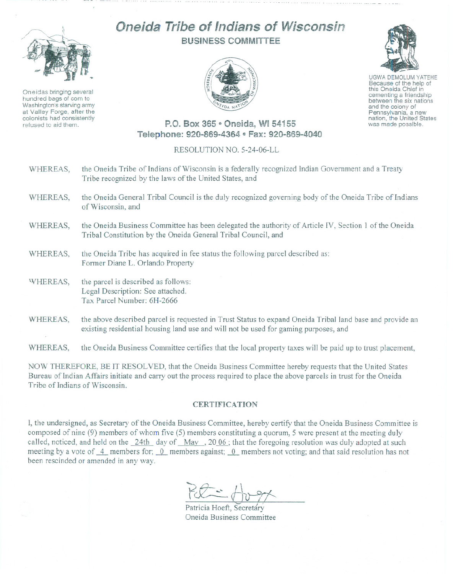

Oneidas bringing several hundred bags of corn to Washington's starving army at Valley Forge, after the colonists had consistently refused to aid them.

## Oneida Tribe of Indians of Wisconsin BUSINESS COMMITTEE



UGWA DEMOLUM YATEHE

Because of the help of this Oneida Chief in<br>cementing a friendship between the six nations and the colony of<br>Pennsylvania, a new nation, the United States was made possible.

## P.O. Box 365 · Oneida. WI 54155 Telephone: 920-869-4364 · Fax: 920-869-4040

## RESOLUTION NO. 5-24-06-LL

- WHEREAS, the Oneida Tribe of Indians of Wisconsin is a federally recognized Indian Government and a Treaty Tribe recognized by the laws of the United States, and
- WHEREAS, the Oneida General Tribal Council is the duly recognized governing body of the Oneida Tribe of Indians of Wisconsin, and
- WHEREAS, the Oneida Business Committee has been delegated the authority of Article IV, Section 1 of the Oneida Tribal Constitution by the Oneida General Tribal Council, and
- WHEREAS, the Oneida Tribe has acquired in fee status the following parcel described as: Former Diane L. Orlando Property
- 'VHEREAS, the parcel is described as follows: Legal Description: See attached. Tax Parcel Number: 6H-2666
- WHEREAS, the above described parcel is requested in Trust Status to expand Oneida Tribal land base and provide an existing residential housing land use and will not be used for gaming purposes, and

WHEREAS, the Oneida Business Committee certifies that the local property taxes will be paid up to trust placement,

NOW THEREFORE, BE IT RESOLVED, that the Oneida Business Committee hereby requests that the United States Bureau of Indian Affairs initiate and carry out the process required to place the above parcels in trust for the Oneida Tribe of Indians of Wisconsin.

## **CERTIFICATION**

I, the undersigned, as Secretary of the Oneida Business Committee, hereby certify that the Oneida Business Committee is composed of nine (9) members of whom five (5) members constituting a quorum, 5 were present at the meeting duly caJled, noticed, and held on the 24th day of Mav , 20 06 ; that the foregoing resolution was duly adopted at such meeting by a vote of 4 members for; 0 members against; 0 members not voting; and that said resolution has not been rescinded or amended in any way.

 $K^{\prime}$  for

Patricia Hoeft, Secretary Oneida Business Committee